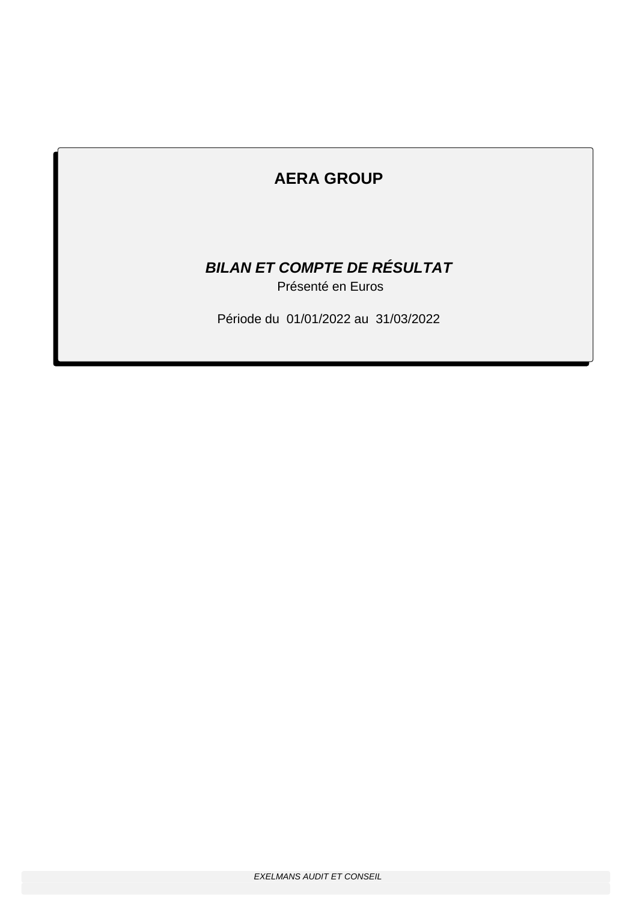# **BILAN ET COMPTE DE RÉSULTAT**

Présenté en Euros

Période du 01/01/2022 au 31/03/2022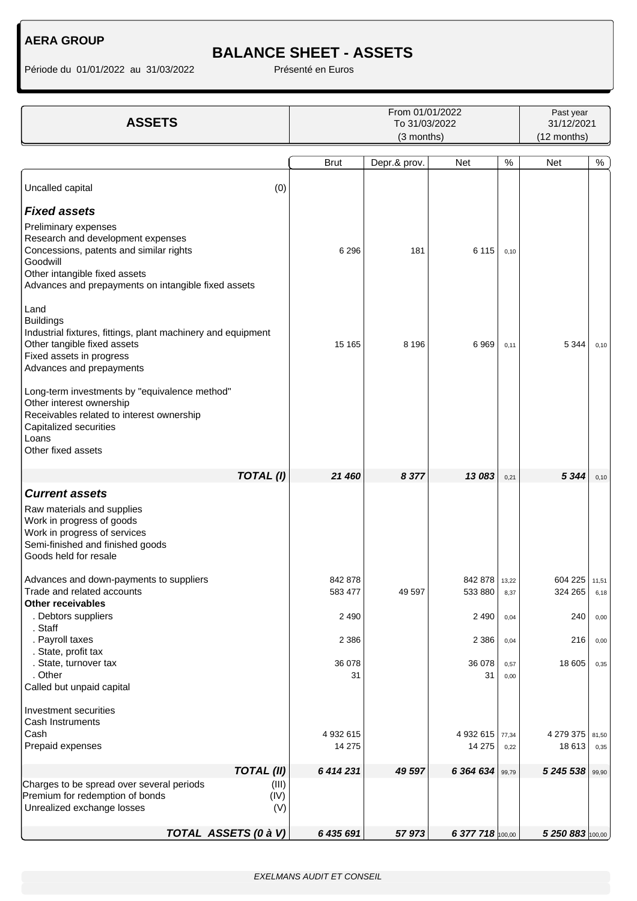## **BALANCE SHEET - ASSETS**

| <b>ASSETS</b>                                                                                                                                                                                            | From 01/01/2022<br>To 31/03/2022 |              |                          |               | Past year<br>31/12/2021<br>(12 months) |               |  |
|----------------------------------------------------------------------------------------------------------------------------------------------------------------------------------------------------------|----------------------------------|--------------|--------------------------|---------------|----------------------------------------|---------------|--|
|                                                                                                                                                                                                          | (3 months)                       |              |                          |               |                                        |               |  |
|                                                                                                                                                                                                          | <b>Brut</b>                      | Depr.& prov. | <b>Net</b>               | $\%$          | <b>Net</b>                             | $\%$          |  |
| Uncalled capital<br>(0)                                                                                                                                                                                  |                                  |              |                          |               |                                        |               |  |
| <b>Fixed assets</b>                                                                                                                                                                                      |                                  |              |                          |               |                                        |               |  |
| Preliminary expenses<br>Research and development expenses<br>Concessions, patents and similar rights<br>Goodwill<br>Other intangible fixed assets<br>Advances and prepayments on intangible fixed assets | 6 2 9 6                          | 181          | 6 1 1 5                  | 0,10          |                                        |               |  |
| Land<br><b>Buildings</b><br>Industrial fixtures, fittings, plant machinery and equipment<br>Other tangible fixed assets<br>Fixed assets in progress<br>Advances and prepayments                          | 15 165                           | 8 1 9 6      | 6969                     | 0,11          | 5 3 4 4                                | 0, 10         |  |
| Long-term investments by "equivalence method"<br>Other interest ownership<br>Receivables related to interest ownership<br>Capitalized securities<br>Loans<br>Other fixed assets                          |                                  |              |                          |               |                                        |               |  |
| TOTAL(I)                                                                                                                                                                                                 | 21 460                           | 8 3 7 7      | 13 083                   | 0,21          | 5 3 4 4                                | 0, 10         |  |
| <b>Current assets</b>                                                                                                                                                                                    |                                  |              |                          |               |                                        |               |  |
| Raw materials and supplies<br>Work in progress of goods<br>Work in progress of services<br>Semi-finished and finished goods<br>Goods held for resale                                                     |                                  |              |                          |               |                                        |               |  |
| Advances and down-payments to suppliers<br>Trade and related accounts<br>Other receivables                                                                                                               | 842 878<br>583 477               | 49 597       | 842 878 13,22<br>533 880 | 8,37          | 604 225 11,51<br>324 265               | 6,18          |  |
| . Debtors suppliers                                                                                                                                                                                      | 2 4 9 0                          |              | 2 4 9 0                  | 0,04          | 240                                    | 0,00          |  |
| . Staff<br>. Payroll taxes<br>. State, profit tax                                                                                                                                                        | 2 3 8 6                          |              | 2 3 8 6                  | 0,04          | 216                                    | 0,00          |  |
| . State, turnover tax<br>. Other<br>Called but unpaid capital                                                                                                                                            | 36 078<br>31                     |              | 36 078<br>31             | 0,57<br>0,00  | 18 605                                 | 0,35          |  |
| Investment securities<br>Cash Instruments                                                                                                                                                                |                                  |              |                          |               |                                        |               |  |
| Cash<br>Prepaid expenses                                                                                                                                                                                 | 4 932 615<br>14 275              |              | 4 932 615<br>14 275      | 77,34<br>0,22 | 4 279 375<br>18 613                    | 81,50<br>0,35 |  |
| <b>TOTAL (II)</b>                                                                                                                                                                                        | 6 414 231                        | 49 597       | 6 364 634                | 99,79         | 5 245 538                              | 99,90         |  |
| Charges to be spread over several periods<br>(III)<br>Premium for redemption of bonds<br>(IV)<br>Unrealized exchange losses<br>(V)                                                                       |                                  |              |                          |               |                                        |               |  |
| TOTAL ASSETS (0 à V)                                                                                                                                                                                     | 6 435 691                        | 57973        | 6 377 718 100,00         |               | 5 250 883 100,00                       |               |  |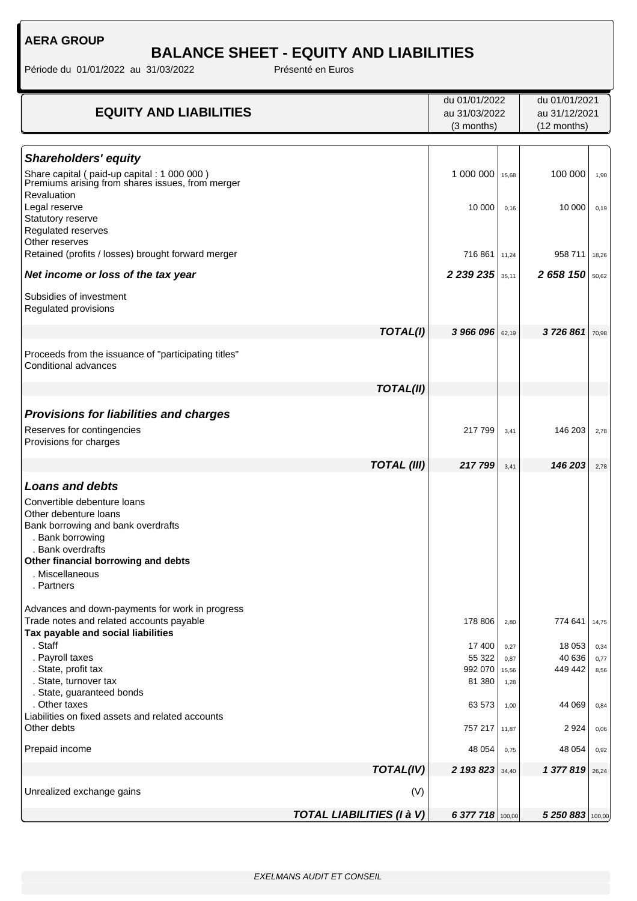## **BALANCE SHEET - EQUITY AND LIABILITIES**

|                                                                           |                                  | du 01/01/2022    |               | du 01/01/2021    |              |
|---------------------------------------------------------------------------|----------------------------------|------------------|---------------|------------------|--------------|
| <b>EQUITY AND LIABILITIES</b>                                             | au 31/03/2022<br>(3 months)      |                  | au 31/12/2021 |                  |              |
|                                                                           |                                  |                  |               | (12 months)      |              |
|                                                                           |                                  |                  |               |                  |              |
| <b>Shareholders' equity</b><br>Share capital (paid-up capital: 1 000 000) |                                  | 1 000 000        |               | 100 000          |              |
| Premiums arising from shares issues, from merger                          |                                  |                  | 15,68         |                  | 1,90         |
| Revaluation<br>Legal reserve                                              |                                  | 10 000           | 0,16          | 10 000           | 0, 19        |
| Statutory reserve                                                         |                                  |                  |               |                  |              |
| Regulated reserves<br>Other reserves                                      |                                  |                  |               |                  |              |
| Retained (profits / losses) brought forward merger                        |                                  | 716 861          | 11,24         | 958 711          | 18,26        |
| Net income or loss of the tax year                                        |                                  | 2 2 3 2 2 3 5    | 35,11         | 2 658 150        | 50,62        |
| Subsidies of investment                                                   |                                  |                  |               |                  |              |
| Regulated provisions                                                      |                                  |                  |               |                  |              |
|                                                                           | TOTAL(I)                         | 3 966 096        | 62,19         | 3726861          | 70,98        |
| Proceeds from the issuance of "participating titles"                      |                                  |                  |               |                  |              |
| Conditional advances                                                      |                                  |                  |               |                  |              |
|                                                                           | <b>TOTAL(II)</b>                 |                  |               |                  |              |
| <b>Provisions for liabilities and charges</b>                             |                                  |                  |               |                  |              |
| Reserves for contingencies                                                |                                  | 217 799          | 3,41          | 146 203          | 2,78         |
| Provisions for charges                                                    |                                  |                  |               |                  |              |
|                                                                           | <b>TOTAL (III)</b>               | 217799           | 3,41          | 146 203          | 2,78         |
| <b>Loans and debts</b>                                                    |                                  |                  |               |                  |              |
| Convertible debenture loans                                               |                                  |                  |               |                  |              |
| Other debenture loans                                                     |                                  |                  |               |                  |              |
| Bank borrowing and bank overdrafts<br>. Bank borrowing                    |                                  |                  |               |                  |              |
| . Bank overdrafts                                                         |                                  |                  |               |                  |              |
| Other financial borrowing and debts<br>. Miscellaneous                    |                                  |                  |               |                  |              |
| . Partners                                                                |                                  |                  |               |                  |              |
| Advances and down-payments for work in progress                           |                                  |                  |               |                  |              |
| Trade notes and related accounts payable                                  |                                  | 178 806          | 2,80          | 774 641          | 14,75        |
| Tax payable and social liabilities                                        |                                  |                  |               |                  |              |
| . Staff<br>. Payroll taxes                                                |                                  | 17 400<br>55 322 | 0,27<br>0,87  | 18 053<br>40 636 | 0,34<br>0,77 |
| . State, profit tax                                                       |                                  | 992 070          | 15,56         | 449 442          | 8,56         |
| . State, turnover tax                                                     |                                  | 81 380           | 1,28          |                  |              |
| . State, guaranteed bonds<br>. Other taxes                                |                                  | 63 573           | 1,00          | 44 069           | 0,84         |
| Liabilities on fixed assets and related accounts                          |                                  |                  |               |                  |              |
| Other debts                                                               |                                  | 757 217          | 11,87         | 2 9 2 4          | 0,06         |
| Prepaid income                                                            |                                  | 48 054           | 0,75          | 48 054           | 0,92         |
|                                                                           | <b>TOTAL(IV)</b>                 | 2 193 823        | 34,40         | 1377819          | 26,24        |
| Unrealized exchange gains                                                 | (V)                              |                  |               |                  |              |
|                                                                           | <b>TOTAL LIABILITIES (I à V)</b> | 6 377 718 100,00 |               | 5 250 883 100,00 |              |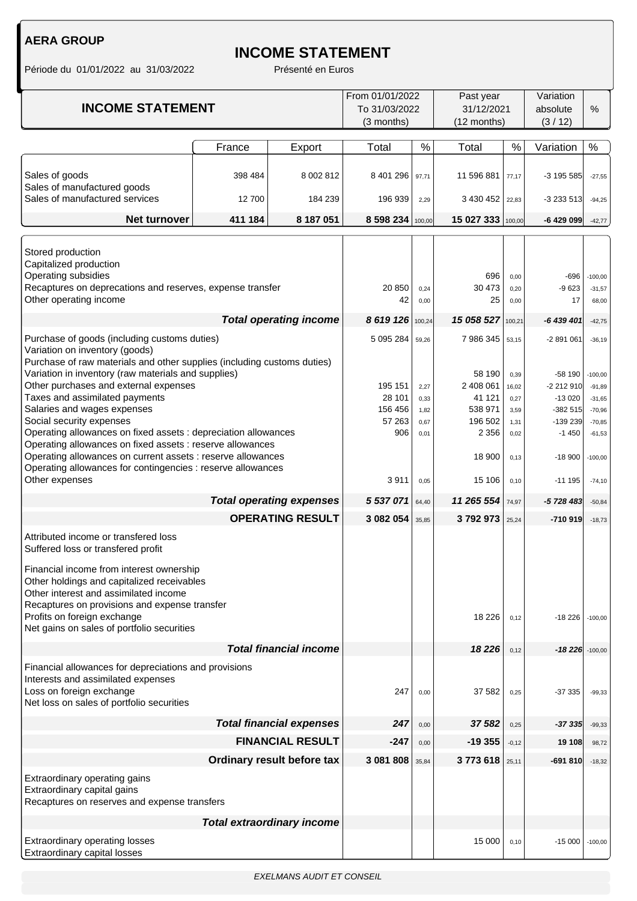## **INCOME STATEMENT**

| <b>INCOME STATEMENT</b>                                                                                                                                                                                                                                                                                                                                                                                                                                                                                                                                                                                                                                                                                                                                                                                                                                                                                              |         | From 01/01/2022<br>To 31/03/2022<br>(3 months)                                  | Past year<br>31/12/2021<br>(12 months)                         |                                                                                                             |                                                                                 | Variation<br>absolute<br>(3/12)                                                                                            | %                                                                                                                      |           |
|----------------------------------------------------------------------------------------------------------------------------------------------------------------------------------------------------------------------------------------------------------------------------------------------------------------------------------------------------------------------------------------------------------------------------------------------------------------------------------------------------------------------------------------------------------------------------------------------------------------------------------------------------------------------------------------------------------------------------------------------------------------------------------------------------------------------------------------------------------------------------------------------------------------------|---------|---------------------------------------------------------------------------------|----------------------------------------------------------------|-------------------------------------------------------------------------------------------------------------|---------------------------------------------------------------------------------|----------------------------------------------------------------------------------------------------------------------------|------------------------------------------------------------------------------------------------------------------------|-----------|
|                                                                                                                                                                                                                                                                                                                                                                                                                                                                                                                                                                                                                                                                                                                                                                                                                                                                                                                      | France  | Export                                                                          | Total                                                          | $\%$                                                                                                        | Total                                                                           | $\%$                                                                                                                       | Variation                                                                                                              | $\%$      |
| Sales of goods<br>Sales of manufactured goods                                                                                                                                                                                                                                                                                                                                                                                                                                                                                                                                                                                                                                                                                                                                                                                                                                                                        | 398 484 | 8 002 812                                                                       | 8 401 296                                                      | 97,71                                                                                                       | 11 596 881                                                                      | 77,17                                                                                                                      | -3 195 585                                                                                                             | $-27,55$  |
| Sales of manufactured services                                                                                                                                                                                                                                                                                                                                                                                                                                                                                                                                                                                                                                                                                                                                                                                                                                                                                       | 12700   | 184 239                                                                         | 196 939                                                        | 2,29                                                                                                        | 3 430 452                                                                       | 22,83                                                                                                                      | $-3233513$                                                                                                             | $-94,25$  |
| <b>Net turnover</b>                                                                                                                                                                                                                                                                                                                                                                                                                                                                                                                                                                                                                                                                                                                                                                                                                                                                                                  | 411 184 | 8 187 051                                                                       | 8 598 234 100,00                                               |                                                                                                             | 15 027 333                                                                      | 100,00                                                                                                                     | -6 429 099                                                                                                             | $-42,77$  |
| Stored production<br>Capitalized production<br>Operating subsidies<br>Recaptures on deprecations and reserves, expense transfer<br>Other operating income                                                                                                                                                                                                                                                                                                                                                                                                                                                                                                                                                                                                                                                                                                                                                            |         | 20 850<br>42                                                                    | 0,24<br>0,00                                                   | 696<br>30 473<br>25                                                                                         | 0,00<br>0,20<br>0,00                                                            | $-696$<br>$-9623$<br>17                                                                                                    | $-100,00$<br>$-31,57$<br>68,00                                                                                         |           |
|                                                                                                                                                                                                                                                                                                                                                                                                                                                                                                                                                                                                                                                                                                                                                                                                                                                                                                                      |         | <b>Total operating income</b>                                                   | 8 619 126                                                      | 100,24                                                                                                      | 15 058 527                                                                      | 100,21                                                                                                                     | -6 439 401                                                                                                             | $-42,75$  |
|                                                                                                                                                                                                                                                                                                                                                                                                                                                                                                                                                                                                                                                                                                                                                                                                                                                                                                                      |         |                                                                                 | 5 095 284                                                      | 59,26                                                                                                       | 7 986 345                                                                       | 53,15                                                                                                                      | $-2891061$                                                                                                             | $-36,19$  |
| Purchase of goods (including customs duties)<br>Variation on inventory (goods)<br>Purchase of raw materials and other supplies (including customs duties)<br>Variation in inventory (raw materials and supplies)<br>Other purchases and external expenses<br>Taxes and assimilated payments<br>Salaries and wages expenses<br>Social security expenses<br>Operating allowances on fixed assets : depreciation allowances<br>Operating allowances on fixed assets : reserve allowances<br>Operating allowances on current assets : reserve allowances<br>Operating allowances for contingencies : reserve allowances<br>Other expenses<br><b>Total operating expenses</b><br><b>OPERATING RESULT</b><br>Attributed income or transfered loss<br>Suffered loss or transfered profit<br>Financial income from interest ownership<br>Other holdings and capitalized receivables<br>Other interest and assimilated income |         | 195 151<br>28 101<br>156 456<br>57 263<br>906<br>3911<br>5 537 071<br>3 082 054 | 2,27<br>0,33<br>1,82<br>0,67<br>0,01<br>0,05<br>64,40<br>35,85 | 58 190<br>2 408 061<br>41 121<br>538 971<br>196 502<br>2 3 5 6<br>18 900<br>15 106<br>11 265 554<br>3792973 | 0,39<br>16,02<br>0,27<br>3,59<br>1,31<br>0,02<br>0,13<br>0,10<br>74,97<br>25,24 | $-58190$<br>$-2212910$<br>$-13020$<br>$-382515$<br>-139 239<br>$-1450$<br>$-18900$<br>$-111195$<br>-5 728 483<br>$-710919$ | $-100,00$<br>$-91,89$<br>$-31,65$<br>$-70,96$<br>$-70,85$<br>$-61,53$<br>$-100,00$<br>$-74,10$<br>$-50,84$<br>$-18,73$ |           |
| Recaptures on provisions and expense transfer<br>Profits on foreign exchange                                                                                                                                                                                                                                                                                                                                                                                                                                                                                                                                                                                                                                                                                                                                                                                                                                         |         |                                                                                 |                                                                |                                                                                                             | 18 2 26                                                                         | 0,12                                                                                                                       | $-18226$                                                                                                               | $-100,00$ |
| Net gains on sales of portfolio securities                                                                                                                                                                                                                                                                                                                                                                                                                                                                                                                                                                                                                                                                                                                                                                                                                                                                           |         |                                                                                 |                                                                |                                                                                                             |                                                                                 |                                                                                                                            |                                                                                                                        |           |
| Financial allowances for depreciations and provisions                                                                                                                                                                                                                                                                                                                                                                                                                                                                                                                                                                                                                                                                                                                                                                                                                                                                |         | <b>Total financial income</b>                                                   |                                                                |                                                                                                             | 18 2 26                                                                         | 0,12                                                                                                                       | $-18226$ -100,00                                                                                                       |           |
| Interests and assimilated expenses<br>Loss on foreign exchange<br>Net loss on sales of portfolio securities                                                                                                                                                                                                                                                                                                                                                                                                                                                                                                                                                                                                                                                                                                                                                                                                          |         |                                                                                 | 247                                                            | 0,00                                                                                                        | 37 582                                                                          | 0,25                                                                                                                       | -37 335                                                                                                                | $-99,33$  |
| <b>Total financial expenses</b>                                                                                                                                                                                                                                                                                                                                                                                                                                                                                                                                                                                                                                                                                                                                                                                                                                                                                      |         | 247                                                                             | 0,00                                                           | 37 582                                                                                                      | 0,25                                                                            | -37 335                                                                                                                    | $-99,33$                                                                                                               |           |
| <b>FINANCIAL RESULT</b>                                                                                                                                                                                                                                                                                                                                                                                                                                                                                                                                                                                                                                                                                                                                                                                                                                                                                              |         |                                                                                 | $-247$                                                         | 0,00                                                                                                        | $-19355$                                                                        | $-0,12$                                                                                                                    | 19 108                                                                                                                 | 98,72     |
| Ordinary result before tax                                                                                                                                                                                                                                                                                                                                                                                                                                                                                                                                                                                                                                                                                                                                                                                                                                                                                           |         | 3 081 808                                                                       | 35,84                                                          | 3773618                                                                                                     | 25,11                                                                           | $-691810$                                                                                                                  | $-18,32$                                                                                                               |           |
| Extraordinary operating gains<br>Extraordinary capital gains<br>Recaptures on reserves and expense transfers                                                                                                                                                                                                                                                                                                                                                                                                                                                                                                                                                                                                                                                                                                                                                                                                         |         |                                                                                 |                                                                |                                                                                                             |                                                                                 |                                                                                                                            |                                                                                                                        |           |
|                                                                                                                                                                                                                                                                                                                                                                                                                                                                                                                                                                                                                                                                                                                                                                                                                                                                                                                      |         | <b>Total extraordinary income</b>                                               |                                                                |                                                                                                             |                                                                                 |                                                                                                                            |                                                                                                                        |           |
| Extraordinary operating losses<br>Extraordinary capital losses                                                                                                                                                                                                                                                                                                                                                                                                                                                                                                                                                                                                                                                                                                                                                                                                                                                       |         |                                                                                 |                                                                | 15 000                                                                                                      | 0,10                                                                            | $-15000$                                                                                                                   | $-100,00$                                                                                                              |           |